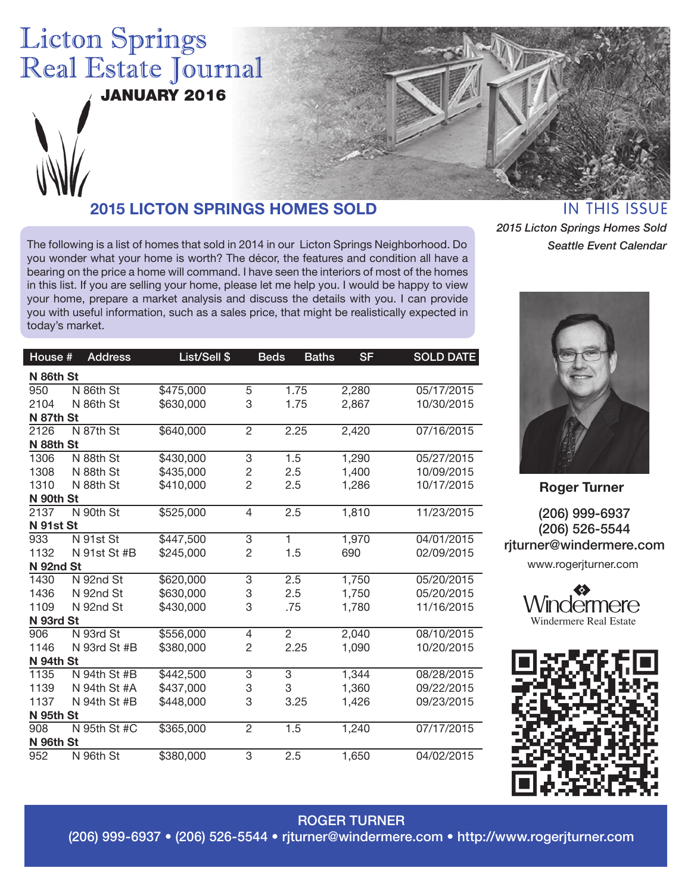# **Licton Springs** Real Estate Journal

JANUARY 2016



# **2015 LICTON SPRINGS HOMES SOLD**

The following is a list of homes that sold in 2014 in our Licton Springs Neighborhood. Do you wonder what your home is worth? The décor, the features and condition all have a bearing on the price a home will command. I have seen the interiors of most of the homes in this list. If you are selling your home, please let me help you. I would be happy to view your home, prepare a market analysis and discuss the details with you. I can provide you with useful information, such as a sales price, that might be realistically expected in today's market.

House # Address List/Sell \$ Beds Baths SF SOLD DATE

| <u>IN INIJ 1990E</u>           |
|--------------------------------|
| 2015 Licton Springs Homes Sold |
| Seattle Event Calendar         |



**Roger Turner**

(206) 999-6937 (206) 526-5544 rjturner@windermere.com

www.rogerjturner.com





#### **N 86th St** 950 N 86th St \$475,000 5 1.75 2,280 05/17/2015 2104 N 86th St \$630,000 3 1.75 2,867 10/30/2015 **N 87th St** 2126 N 87th St \$640,000 2 2.25 2,420 07/16/2015 **N 88th St** 1306 N 88th St \$430,000 3 1.5 1,290 05/27/2015 1308 N 88th St \$435,000 2 2.5 1,400 10/09/2015 1310 N 88th St \$410,000 2 2.5 1,286 10/17/2015 **N 90th St** 2137 N 90th St \$525,000 4 2.5 1,810 11/23/2015 **N 91st St** 933 N 91st St \$447,500 3 1 1,970 04/01/2015 1132 N 91st St #B \$245,000 2 1.5 690 02/09/2015 **N 92nd St** 1430 N 92nd St \$620,000 3 2.5 1,750 05/20/2015 1436 N 92nd St \$630,000 3 2.5 1,750 05/20/2015 1109 N 92nd St \$430,000 3 .75 1,780 11/16/2015 **N 93rd St** 906 N 93rd St \$556,000 4 2 2,040 08/10/2015 1146 N 93rd St #B \$380,000 2 2.25 1,090 10/20/2015 **N 94th St** 1135 N 94th St #B \$442,500 3 3 1,344 08/28/2015 1139 N 94th St #A \$437,000 3 3 1,360 09/22/2015 1137 N 94th St #B \$448,000 3 3.25 1,426 09/23/2015 **N 95th St** 908 N 95th St #C \$365,000 2 1.5 1,240 07/17/2015 **N 96th St** 952 N 96th St \$380,000 3 2.5 1,650 04/02/2015

ROGER TURNER

(206) 999-6937 • (206) 526-5544 • rjturner@windermere.com • http://www.rogerjturner.com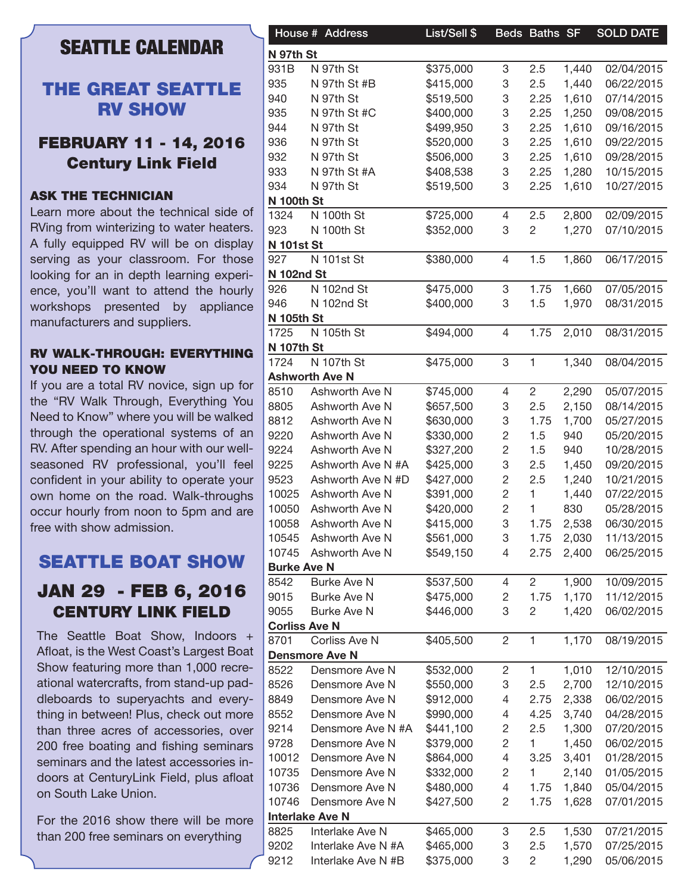# **SEATTLE CALENDAR**

### THE GREAT SEATTLE RV SHOW

### FEBRUARY 11 - 14, 2016 Century Link Field

#### ASK THE TECHNICIAN

Learn more about the technical side of RVing from winterizing to water heaters. A fully equipped RV will be on display serving as your classroom. For those looking for an in depth learning experience, you'll want to attend the hourly workshops presented by appliance manufacturers and suppliers.

#### RV WALK-THROUGH: EVERYTHING YOU NEED TO KNOW

If you are a total RV novice, sign up for the "RV Walk Through, Everything You Need to Know" where you will be walked through the operational systems of an RV. After spending an hour with our wellseasoned RV professional, you'll feel confident in your ability to operate your own home on the road. Walk-throughs occur hourly from noon to 5pm and are free with show admission.

# SEATTLE BOAT SHOW JAN 29 - FEB 6, 2016 CENTURY LINK FIELD

The Seattle Boat Show, Indoors + Afloat, is the West Coast's Largest Boat Show featuring more than 1,000 recreational watercrafts, from stand-up paddleboards to superyachts and everything in between! Plus, check out more than three acres of accessories, over 200 free boating and fishing seminars seminars and the latest accessories indoors at CenturyLink Field, plus afloat on South Lake Union.

For the 2016 show there will be more than 200 free seminars on everything

|                      | House # Address        | List/Sell \$ |                | Beds Baths SF  |       | <b>SOLD DATE</b> |
|----------------------|------------------------|--------------|----------------|----------------|-------|------------------|
| N 97th St            |                        |              |                |                |       |                  |
| 931B                 | N 97th St              | \$375,000    | 3              | 2.5            | 1,440 | 02/04/2015       |
| 935                  | N 97th St #B           | \$415,000    | 3              | 2.5            | 1,440 | 06/22/2015       |
| 940                  | N 97th St              | \$519,500    | 3              | 2.25           | 1,610 | 07/14/2015       |
| 935                  | N 97th St #C           | \$400,000    | 3              | 2.25           | 1,250 | 09/08/2015       |
|                      | N 97th St              |              |                | 2.25           | 1,610 | 09/16/2015       |
| 944                  |                        | \$499,950    | 3              |                |       |                  |
| 936                  | N 97th St              | \$520,000    | 3              | 2.25           | 1,610 | 09/22/2015       |
| 932                  | N 97th St              | \$506,000    | 3              | 2.25           | 1,610 | 09/28/2015       |
| 933                  | N 97th St #A           | \$408,538    | 3              | 2.25           | 1,280 | 10/15/2015       |
| 934                  | N 97th St              | \$519,500    | 3              | 2.25           | 1,610 | 10/27/2015       |
| <b>N 100th St</b>    |                        |              |                |                |       |                  |
| 1324                 | N 100th St             | \$725,000    | 4              | 2.5            | 2,800 | 02/09/2015       |
| 923                  | N 100th St             | \$352,000    | 3              | $\overline{c}$ | 1,270 | 07/10/2015       |
| <b>N 101st St</b>    |                        |              |                |                |       |                  |
| 927                  | N 101st St             | \$380,000    | 4              | 1.5            | 1,860 | 06/17/2015       |
| <b>N 102nd St</b>    |                        |              |                |                |       |                  |
| 926                  | N 102nd St             | \$475,000    | 3              | 1.75           | 1,660 | 07/05/2015       |
| 946                  | N 102nd St             | \$400,000    | 3              | 1.5            | 1,970 | 08/31/2015       |
| <b>N 105th St</b>    |                        |              |                |                |       |                  |
| 1725                 | N 105th St             | \$494,000    | 4              | 1.75           | 2,010 | 08/31/2015       |
| <b>N 107th St</b>    |                        |              |                |                |       |                  |
| 1724                 | N 107th St             | \$475,000    | 3              | $\mathbf{1}$   | 1,340 | 08/04/2015       |
|                      | <b>Ashworth Ave N</b>  |              |                |                |       |                  |
| 8510                 | Ashworth Ave N         | \$745,000    | 4              | $\overline{c}$ | 2,290 | 05/07/2015       |
| 8805                 | Ashworth Ave N         | \$657,500    | 3              | 2.5            | 2,150 | 08/14/2015       |
| 8812                 | Ashworth Ave N         | \$630,000    | 3              | 1.75           | 1,700 | 05/27/2015       |
| 9220                 | Ashworth Ave N         | \$330,000    | $\mathbf{2}$   | 1.5            | 940   | 05/20/2015       |
| 9224                 | Ashworth Ave N         | \$327,200    | $\mathbf{2}$   | 1.5            | 940   | 10/28/2015       |
| 9225                 | Ashworth Ave N #A      | \$425,000    | 3              | 2.5            | 1,450 | 09/20/2015       |
| 9523                 | Ashworth Ave N #D      | \$427,000    | 2              | 2.5            | 1,240 | 10/21/2015       |
| 10025                | Ashworth Ave N         | \$391,000    | 2              | 1              | 1,440 | 07/22/2015       |
| 10050                | Ashworth Ave N         | \$420,000    | $\overline{c}$ | 1              | 830   | 05/28/2015       |
|                      |                        |              |                |                |       |                  |
| 10058                | Ashworth Ave N         | \$415,000    | 3              | 1.75           | 2,538 | 06/30/2015       |
| 10545                | Ashworth Ave N         | \$561,000    | 3              | 1.75           | 2,030 | 11/13/2015       |
| 10745                | Ashworth Ave N         | \$549,150    | 4              | 2.75           | 2,400 | 06/25/2015       |
| <b>Burke Ave N</b>   |                        |              |                |                |       |                  |
| 8542                 | <b>Burke Ave N</b>     | \$537,500    | 4              | $\overline{2}$ | 1,900 | 10/09/2015       |
| 9015                 | Burke Ave N            | \$475,000    | 2              | 1.75           | 1,170 | 11/12/2015       |
| 9055                 | Burke Ave N            | \$446,000    | 3              | $\overline{c}$ | 1,420 | 06/02/2015       |
| <b>Corliss Ave N</b> |                        |              |                |                |       |                  |
| 8701                 | Corliss Ave N          | \$405,500    | 2              | $\mathbf{1}$   | 1,170 | 08/19/2015       |
|                      | <b>Densmore Ave N</b>  |              |                |                |       |                  |
| 8522                 | Densmore Ave N         | \$532,000    | $\overline{c}$ | $\mathbf{1}$   | 1,010 | 12/10/2015       |
| 8526                 | Densmore Ave N         | \$550,000    | 3              | 2.5            | 2,700 | 12/10/2015       |
| 8849                 | Densmore Ave N         | \$912,000    | 4              | 2.75           | 2,338 | 06/02/2015       |
| 8552                 | Densmore Ave N         | \$990,000    | 4              | 4.25           | 3,740 | 04/28/2015       |
| 9214                 | Densmore Ave N #A      | \$441,100    | 2              | 2.5            | 1,300 | 07/20/2015       |
| 9728                 | Densmore Ave N         | \$379,000    | 2              |                | 1,450 | 06/02/2015       |
| 10012                | Densmore Ave N         | \$864,000    | 4              | 3.25           | 3,401 | 01/28/2015       |
| 10735                | Densmore Ave N         | \$332,000    | 2              |                | 2,140 | 01/05/2015       |
|                      |                        |              |                |                |       |                  |
| 10736                | Densmore Ave N         | \$480,000    | 4              | 1.75           | 1,840 | 05/04/2015       |
| 10746                | Densmore Ave N         | \$427,500    | 2              | 1.75           | 1,628 | 07/01/2015       |
|                      | <b>Interlake Ave N</b> |              |                |                |       |                  |
| 8825                 | Interlake Ave N        | \$465,000    | 3              | 2.5            | 1,530 | 07/21/2015       |
| 9202                 | Interlake Ave N #A     | \$465,000    | 3              | 2.5            | 1,570 | 07/25/2015       |
| 9212                 | Interlake Ave N #B     | \$375,000    | 3              | 2              | 1,290 | 05/06/2015       |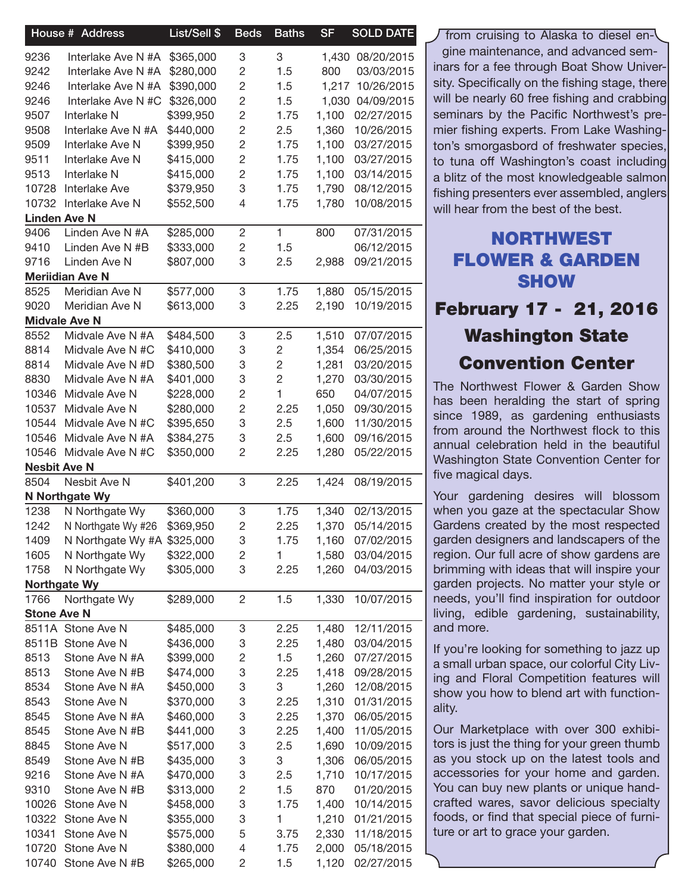|                      | House # Address              | List/Sell \$ | <b>Beds</b>    | <b>Baths</b>   | <b>SF</b> | <b>SOLD DATE</b> |
|----------------------|------------------------------|--------------|----------------|----------------|-----------|------------------|
| 9236                 | Interlake Ave N #A           | \$365,000    | 3              | 3              |           | 1,430 08/20/2015 |
| 9242                 | Interlake Ave N #A           | \$280,000    | $\overline{c}$ | 1.5            | 800       | 03/03/2015       |
| 9246                 | Interlake Ave N #A           | \$390,000    | $\overline{c}$ | 1.5            |           | 1,217 10/26/2015 |
| 9246                 | Interlake Ave N #C \$326,000 |              | $\overline{c}$ | 1.5            |           | 1,030 04/09/2015 |
| 9507                 | Interlake N                  | \$399,950    | $\overline{c}$ | 1.75           | 1,100     | 02/27/2015       |
| 9508                 | Interlake Ave N #A           | \$440,000    | $\overline{c}$ | 2.5            | 1,360     | 10/26/2015       |
| 9509                 | Interlake Ave N              | \$399,950    | $\overline{c}$ | 1.75           | 1,100     | 03/27/2015       |
| 9511                 | Interlake Ave N              | \$415,000    | $\overline{c}$ | 1.75           | 1,100     | 03/27/2015       |
| 9513                 | Interlake N                  | \$415,000    | 2              | 1.75           | 1,100     | 03/14/2015       |
| 10728                | Interlake Ave                | \$379,950    | 3              | 1.75           | 1,790     | 08/12/2015       |
| 10732                | Interlake Ave N              | \$552,500    | 4              | 1.75           | 1,780     | 10/08/2015       |
| <b>Linden Ave N</b>  |                              |              |                |                |           |                  |
| 9406                 | Linden Ave N #A              | \$285,000    | $\overline{c}$ | 1.             | 800       | 07/31/2015       |
| 9410                 | Linden Ave N #B              | \$333,000    | $\sqrt{2}$     | 1.5            |           | 06/12/2015       |
| 9716                 | Linden Ave N                 | \$807,000    | 3              | 2.5            | 2,988     | 09/21/2015       |
|                      | <b>Meriidian Ave N</b>       |              |                |                |           |                  |
| 8525                 | Meridian Ave N               | \$577,000    | 3              | 1.75           | 1,880     | 05/15/2015       |
| 9020                 | Meridian Ave N               | \$613,000    | 3              | 2.25           | 2,190     | 10/19/2015       |
| <b>Midvale Ave N</b> |                              |              |                |                |           |                  |
| 8552                 | Midvale Ave N #A             | \$484,500    | 3              | 2.5            | 1,510     | 07/07/2015       |
| 8814                 | Midvale Ave N #C             | \$410,000    | 3              | 2              | 1,354     | 06/25/2015       |
| 8814                 | Midvale Ave N #D             | \$380,500    | 3              | 2              | 1,281     | 03/20/2015       |
| 8830                 | Midvale Ave N #A             | \$401,000    | 3              | $\overline{c}$ | 1,270     | 03/30/2015       |
| 10346                | Midvale Ave N                | \$228,000    | $\overline{c}$ | 1              | 650       | 04/07/2015       |
| 10537                | Midvale Ave N                | \$280,000    | $\overline{c}$ | 2.25           | 1,050     | 09/30/2015       |
| 10544                | Midvale Ave N #C             | \$395,650    | 3              | 2.5            | 1,600     | 11/30/2015       |
| 10546                | Midvale Ave N #A             | \$384,275    | 3              | 2.5            | 1,600     | 09/16/2015       |
| 10546                | Midvale Ave N #C             | \$350,000    | 2              | 2.25           | 1,280     | 05/22/2015       |
| <b>Nesbit Ave N</b>  |                              |              |                |                |           |                  |
| 8504                 | Nesbit Ave N                 | \$401,200    | 3              | 2.25           | 1,424     | 08/19/2015       |
|                      | N Northgate Wy               |              |                |                |           |                  |
| 1238                 | N Northgate Wy               | \$360,000    | 3              | 1.75           | 1,340     | 02/13/2015       |
| 1242                 | N Northgate Wy #26           | \$369,950    | $\overline{c}$ | 2.25           | 1,370     | 05/14/2015       |
| 1409                 | N Northgate Wy #A \$325,000  |              | 3              | 1.75           | 1,160     | 07/02/2015       |
| 1605                 | N Northgate Wy               | \$322,000    | 2              | 1              | 1,580     | 03/04/2015       |
| 1758                 | N Northgate Wy               | \$305,000    | 3              | 2.25           | 1,260     | 04/03/2015       |
| <b>Northgate Wy</b>  |                              |              |                |                |           |                  |
| 1766                 | Northgate Wy                 | \$289,000    | $\overline{2}$ | 1.5            | 1,330     | 10/07/2015       |
| <b>Stone Ave N</b>   |                              |              |                |                |           |                  |
|                      | 8511A Stone Ave N            | \$485,000    | 3              | 2.25           | 1,480     | 12/11/2015       |
|                      | 8511B Stone Ave N            | \$436,000    | 3              | 2.25           | 1,480     | 03/04/2015       |
| 8513                 | Stone Ave N #A               | \$399,000    | 2              | 1.5            | 1,260     | 07/27/2015       |
| 8513                 | Stone Ave N #B               | \$474,000    | 3              | 2.25           | 1,418     | 09/28/2015       |
| 8534                 | Stone Ave N #A               | \$450,000    | 3              | 3              | 1,260     | 12/08/2015       |
| 8543                 | Stone Ave N                  | \$370,000    | 3              | 2.25           | 1,310     | 01/31/2015       |
| 8545                 | Stone Ave N #A               | \$460,000    | 3              | 2.25           | 1,370     | 06/05/2015       |
| 8545                 | Stone Ave N #B               | \$441,000    | 3              | 2.25           | 1,400     | 11/05/2015       |
| 8845                 | Stone Ave N                  | \$517,000    | 3              | 2.5            | 1,690     | 10/09/2015       |
| 8549                 | Stone Ave N #B               | \$435,000    | 3              | 3              | 1,306     | 06/05/2015       |
| 9216                 | Stone Ave N #A               | \$470,000    | 3              | 2.5            | 1,710     | 10/17/2015       |
| 9310                 | Stone Ave N #B               | \$313,000    | 2              | 1.5            | 870       | 01/20/2015       |
| 10026                | Stone Ave N                  | \$458,000    | 3              | 1.75           | 1,400     | 10/14/2015       |
| 10322                | Stone Ave N                  | \$355,000    | 3              | 1              | 1,210     | 01/21/2015       |
| 10341                | Stone Ave N                  | \$575,000    | 5              | 3.75           | 2,330     | 11/18/2015       |
| 10720                | Stone Ave N                  | \$380,000    | 4              | 1.75           | 2,000     | 05/18/2015       |
|                      | 10740 Stone Ave N #B         | \$265,000    | 2              | 1.5            | 1,120     | 02/27/2015       |

from cruising to Alaska to diesel engine maintenance, and advanced seminars for a fee through Boat Show University. Specifically on the fishing stage, there will be nearly 60 free fishing and crabbing seminars by the Pacific Northwest's premier fishing experts. From Lake Washington's smorgasbord of freshwater species, to tuna off Washington's coast including a blitz of the most knowledgeable salmon fishing presenters ever assembled, anglers will hear from the best of the best.

## NORTHWEST FLOWER & GARDEN **SHOW**

# February 17 - 21, 2016 Washington State Convention Center

The Northwest Flower & Garden Show has been heralding the start of spring since 1989, as gardening enthusiasts from around the Northwest flock to this annual celebration held in the beautiful Washington State Convention Center for five magical days.

Your gardening desires will blossom when you gaze at the spectacular Show Gardens created by the most respected garden designers and landscapers of the region. Our full acre of show gardens are brimming with ideas that will inspire your garden projects. No matter your style or needs, you'll find inspiration for outdoor living, edible gardening, sustainability, and more.

If you're looking for something to jazz up a small urban space, our colorful City Living and Floral Competition features will show you how to blend art with functionality.

Our Marketplace with over 300 exhibitors is just the thing for your green thumb as you stock up on the latest tools and accessories for your home and garden. You can buy new plants or unique handcrafted wares, savor delicious specialty foods, or find that special piece of furniture or art to grace your garden.